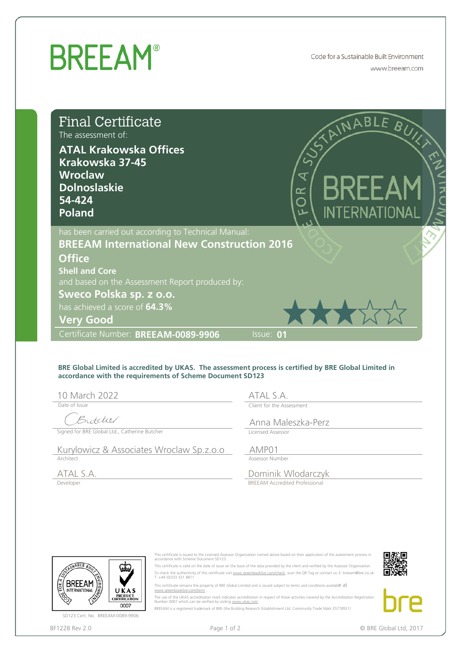## **BREEAM®**

Code for a Sustainable Built Environment www.breeam.com

| <b>Final Certificate</b><br>The assessment of:<br><b>ATAL Krakowska Offices</b><br>Krakowska 37-45<br><b>Wroclaw</b><br><b>Dolnoslaskie</b><br>54-424<br><b>Poland</b>                                                                                                                |                                                                                                                                                                                | 6R                                                                                | RINABLE BUY<br><b>BREEAM</b><br><b>INTERNATIONAL</b> |  |
|---------------------------------------------------------------------------------------------------------------------------------------------------------------------------------------------------------------------------------------------------------------------------------------|--------------------------------------------------------------------------------------------------------------------------------------------------------------------------------|-----------------------------------------------------------------------------------|------------------------------------------------------|--|
| has been carried out according to Technical Manual:<br><b>BREEAM International New Construction 2016</b><br><b>Office</b><br><b>Shell and Core</b><br>and based on the Assessment Report produced by:<br>Sweco Polska sp. z o.o.<br>has achieved a score of 64.3%<br><b>Very Good</b> |                                                                                                                                                                                |                                                                                   | ****                                                 |  |
| Certificate Number: BREEAM-0089-9906                                                                                                                                                                                                                                                  |                                                                                                                                                                                | Issue: 01                                                                         |                                                      |  |
| BRE Global Limited is accredited by UKAS. The assessment process is certified by BRE Global Limited in<br>accordance with the requirements of Scheme Document SD123<br>10 March 2022<br>Date of Issue<br>Butcher<br>Signed for BRE Global Ltd., Catherine Butcher                     |                                                                                                                                                                                | ATAL S.A.<br>Client for the Assessment<br>Anna Maleszka-Perz<br>Licensed Assessor |                                                      |  |
| Kurylowicz & Associates Wroclaw Sp.z.o.o                                                                                                                                                                                                                                              |                                                                                                                                                                                | AMP01                                                                             |                                                      |  |
| Architect<br>ATAL S.A.<br>Developer                                                                                                                                                                                                                                                   |                                                                                                                                                                                | Assessor Number<br>Dominik Wlodarczyk<br><b>BREEAM Accredited Professional</b>    |                                                      |  |
| NABLE BU                                                                                                                                                                                                                                                                              | This certificate is issued to the Licensed Assessor Organisation named above based on their application of the assessment process in<br>accordance with Scheme Document SD123. |                                                                                   |                                                      |  |

## **BRE Global Limited is accredited by UKAS. The assessment process is certified by BRE Global Limited in accordance with the requirements of Scheme Document SD123**